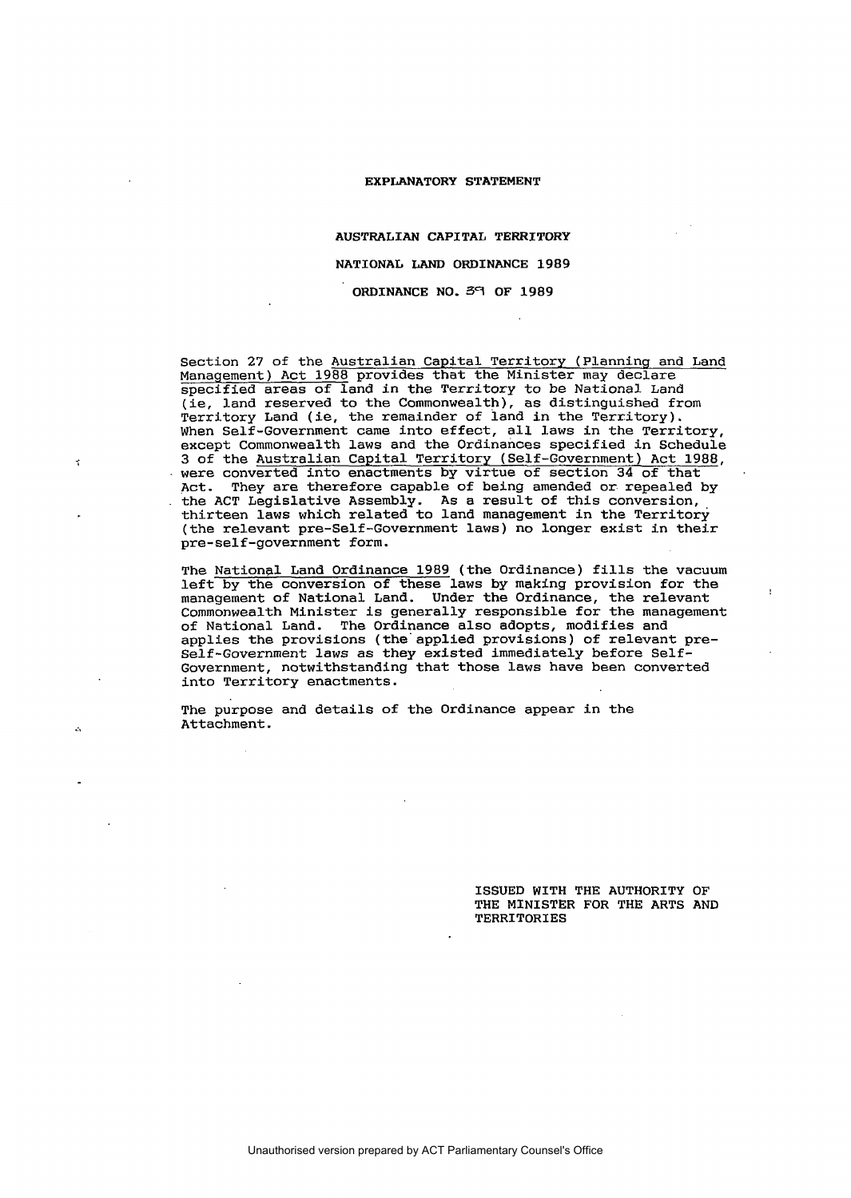# AUSTRALIAN CAPITAL TERRITORY NATIONAL LAND ORDINANCE 1989 ORDINANCE NO. 59 OF 1989

Section 27 of the Australian Capital Territory (Planning and Land Management) Act 1988 provides that the Minister may declare specified areas of land in the Territory to be National Land (ie, land reserved to the Commonwealth), as distinguished from Territory Land (ie, the remainder of land in the Territory). When Self-Government came into effect, all laws in the Territory, except Commonwealth laws and the Ordinances specified in Schedule 3 of the Australian Capital Territory (Self-Government) Act 1988, were converted into enactments by virtue of section 34 of that Act. They are therefore capable of being amended or repealed by the ACT Legislative Assembly. As a result of this conversion, thirteen laws which related to land management in the Territory (the relevant pre-Self-Government laws) no longer exist in their pre-self-government form.

The National Land Ordinance 1989 (the Ordinance) fills the vacuum left by the conversion of these laws by making provision for the management of National Land. Under the Ordinance, the relevant Commonwealth Minister is generally responsible for the management of National Land. The Ordinance also adopts, modifies and applies the provisions (the" applied provisions) of relevant pre-Self-Government laws as they existed immediately before Self-Government, notwithstanding that those laws have been converted into Territory enactments.

The purpose and details of the Ordinance appear in the Attachment .

 $\cdot$   $\cdot$ 

 $\epsilon$ 

ISSUED WITH THE AUTHORITY OF THE MINISTER FOR THE ARTS AND TERRITORIES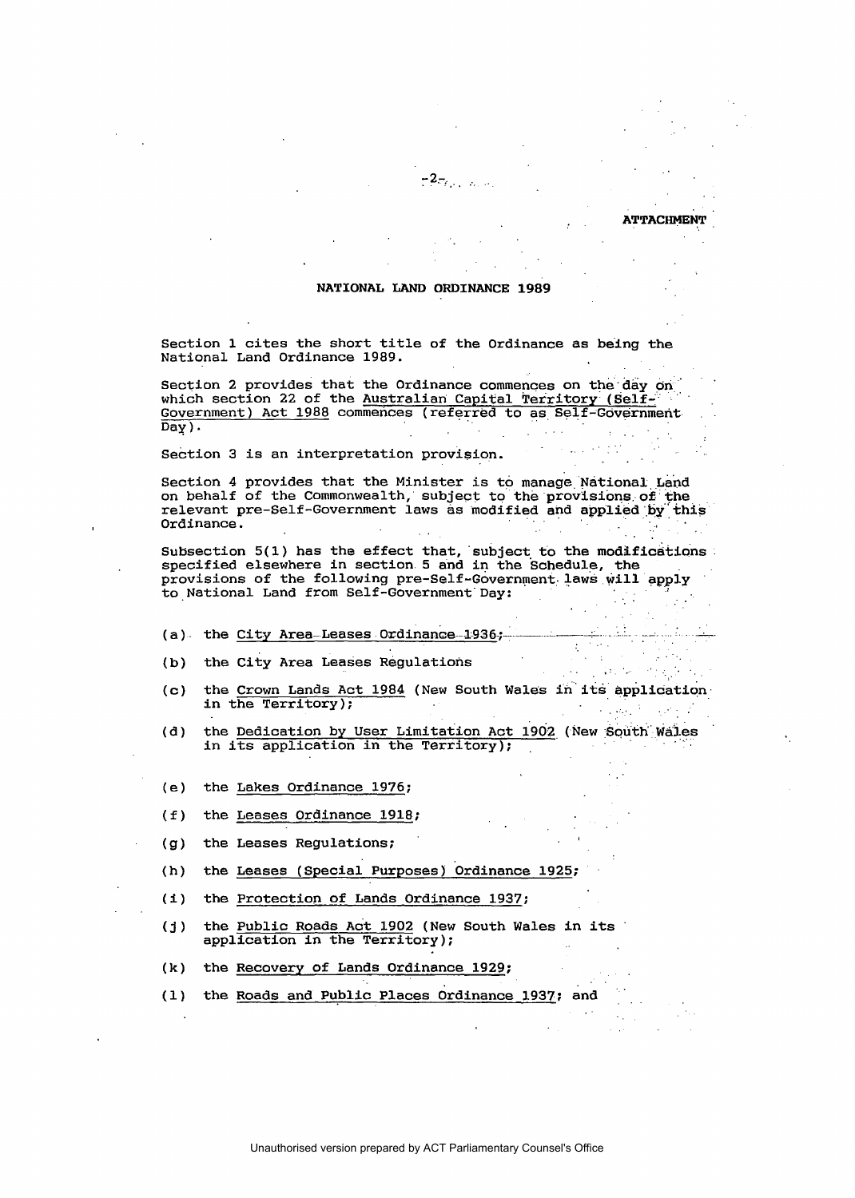#### NATIONAL LAND ORDINANCE 1989

**ATTACHMENT** 

Section 1 cites the short title of the Ordinance as being the National Land Ordinance 1989.

Section 2 provides that the Ordinance commences on the day on which section 22 of the Australian Capital Territory (Self-Government) Act 1988 commences (referred to as Self-Government  $\overline{Day}$ ).

Section 3 is an interpretation provision.

Section 4 provides that the Minister is to manage National Land on behalf of the Commonwealth, subject to the provisions of the<br>relevant pre-Self-Government laws as modified and applied by this Ordinance.

Subsection 5(1) has the effect that, subject to the modifications specified elsewhere in section 5 and in the Schedule, the provisions of the following pre-Self-Government laws will apply to National Land from Self-Government Day:

- (a) the City Area-Leases Ordinance-1936;
- the City Area Leases Regulations  $(b)$
- the Crown Lands Act 1984 (New South Wales in its application  $(c)$ in the Territory);  $\sim 10^4$  $\mathcal{L}^{\text{max}}_{\text{max}}$

 $\sim$   $\sim$ 

**Contract Contract** 

- the Dedication by User Limitation Act 1902 (New South Wales  $(d)$ in its application in the Territory);
- the Lakes Ordinance 1976;  $(e)$
- $(f)$ the Leases Ordinance 1918;
- the Leases Regulations;  $(g)$
- the Leases (Special Purposes) Ordinance 1925;  $(h)$
- $(1)$ the Protection of Lands Ordinance 1937;
- the Public Roads Act 1902 (New South Wales in its  $(i)$ application in the Territory);
- $(k)$ the Recovery of Lands Ordinance 1929;
- the Roads and Public Places Ordinance 1937; and  $(1)$

Unauthorised version prepared by ACT Parliamentary Counsel's Office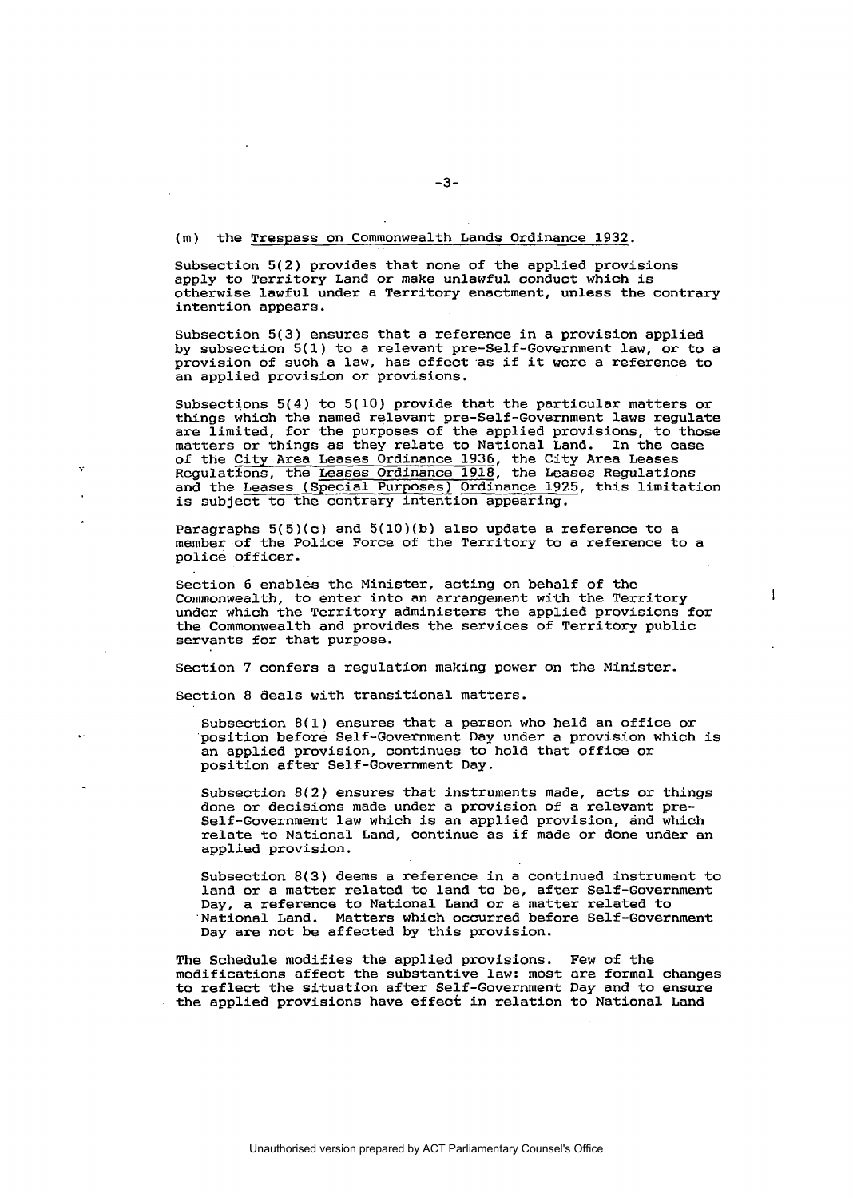## (m) the Trespass on Commonwealth Lands Ordinance 1932.

Subsection 5(2) provides that none of the applied provisions apply to Territory Land or make unlawful conduct which is otherwise lawful under a Territory enactment, unless the contrary intention appears.

Subsection 5(3) ensures that a reference in a provision applied by subsection 5(1) to a relevant pre-Self-Government law, or to a provision of such a law, has effect as if it were a reference to an applied provision or provisions.

Subsections  $5(4)$  to  $5(10)$  provide that the particular matters or things which the named relevant pre-Self-Government laws regulate are limited, for the purposes of the applied provisions, to those matters or things as they relate to National Land. In the case of the City Area Leases Ordinance 1936, the City Area Leases Regulations, the Leases Ordinance 1918, the Leases Regulations and the Leases (Special Purposes) Ordinance 1925, this limitation is subject to the contrary intention appearing.

Paragraphs  $5(5)(c)$  and  $5(10)(b)$  also update a reference to a member of the Police Force of the Territory to a reference to a police officer.

Section 6 enables the Minister, acting on behalf of the Commonwealth, to enter into an arrangement with the Territory under which the Territory administers the applied provisions for the Commonwealth and provides the services of Territory public servants for that purpose.

 $\overline{1}$ 

Section 7 confers a regulation making power on the Minister.

Section 8 deals with transitional matters.

×,

 $\mathbf{r}$ 

Subsection 8(1) ensures that a person who held an office or 'position before Self-Government Day under a provision which is an applied provision, continues to hold that office or position after Self-Government Day.

Subsection 8(2) ensures that instruments made, acts or things done or decisions made under a provision of a relevant pre-Self-Government law which is an applied provision, and which relate to National Land, continue as if made or done under an applied provision.

Subsection 8(3) deems a reference in a continued instrument to land or a matter related to land to be, after Self-Government Day, a reference to National Land or a matter related to National Land. Matters which occurred before Self-Government Day are not be affected by this provision.

The Schedule modifies the applied provisions. Few of the modifications affect the substantive law: most are formal changes to reflect the situation after Self-Government Day and to ensure the applied provisions have effect in relation to National Land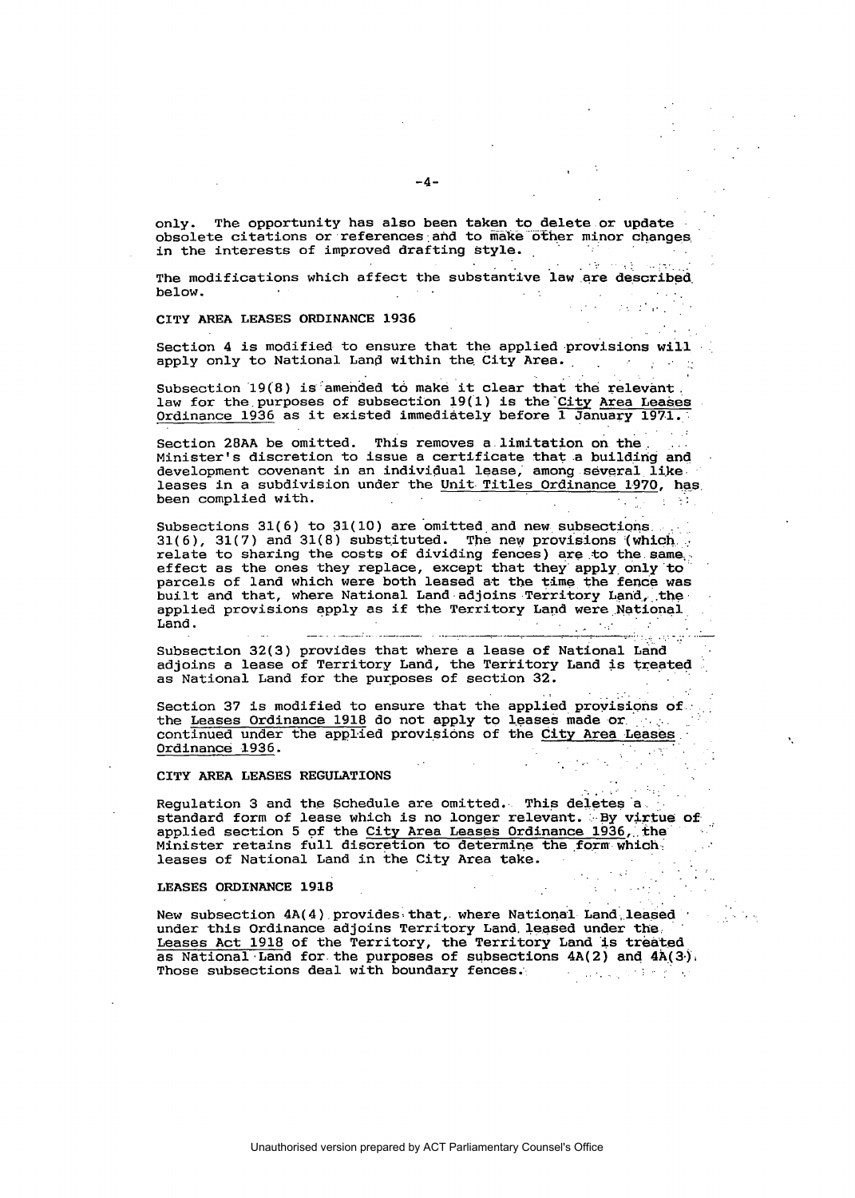only. The opportunity has also been taken to delete or update obsolete citations or references and to make other minor changes in the interests of improved drafting style.

The modifications which affect the substantive law are described  $h$ elow.  $\mathcal{L}^{\mathcal{A}}$  , where  $\mathcal{L}^{\mathcal{A}}$  are  $\mathcal{L}^{\mathcal{A}}$  , and  $\mathcal{L}^{\mathcal{A}}$  are  $\mathcal{L}^{\mathcal{A}}$ 

CITY AREA LEASES ORDINANCE 1936

Section 4 is modified to ensure that the applied provisions will apply only to National Land within the City Area.

Subsection 19(8) is amended to make it clear that the relevant. law for the purposes of subsection 19(1) is the City Area Leases<br>Ordinance 1936 as it existed immediately before 1 January 1971.

Lija. Section 28AA be omitted. This removes a limitation on the Minister's discretion to issue a certificate that a building and development covenant in an individual lease, among several like leases in a subdivision under the Unit Titles Ordinance 1970, has been complied with. na single

Subsections 31(6) to 31(10) are omitted and new subsections.  $31(6)$ ,  $31(7)$  and  $31(8)$  substituted. The new provisions (which relate to sharing the costs of dividing fences) are to the same<br>effect as the ones they replace, except that they apply only to<br>parcels of land which were both leased at the time the fence was built and that, where National Land adjoins Territory Land, the applied provisions apply as if the Territory Land were National Land.  $\sim 20$ **State State State** 

Subsection 32(3) provides that where a lease of National Land adjoins a lease of Territory Land, the Territory Land is treated as National Land for the purposes of section 32.

Section 37 is modified to ensure that the applied provisions of. the Leases Ordinance 1918 do not apply to leases made or continued under the applied provisions of the City Area Leases Ordinance 1936.

CITY AREA LEASES REGULATIONS

Regulation 3 and the Schedule are omitted. This deletes a standard form of lease which is no longer relevant. By virtue of applied section 5 of the City Area Leases Ordinance 1936, the Minister retains full discretion to determine the form which leases of National Land in the City Area take.

LEASES ORDINANCE 1918

New subsection  $4A(4)$  provides that, where National Land leased under this Ordinance adjoins Territory Land leased under the Leases Act 1918 of the Territory, the Territory Land is treated as National Land for the purposes of subsections 4A(2) and 4A(3). Those subsections deal with boundary fences.  $\mathcal{A}$  . The contribution of the state  $\mathcal{A}$